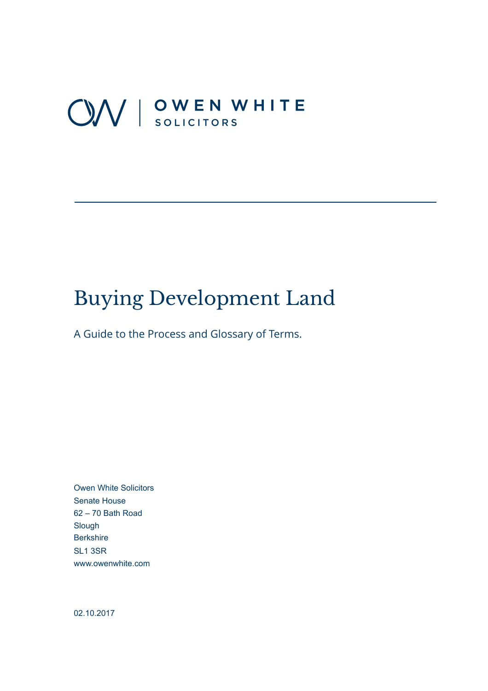# OV | OWEN WHITE

# Buying Development Land

A Guide to the Process and Glossary of Terms.

Owen White Solicitors Senate House 62 – 70 Bath Road Slough **Berkshire** SL1 3SR [www.owenwhite.com](http://www.owenwhite.com) 

02.10.2017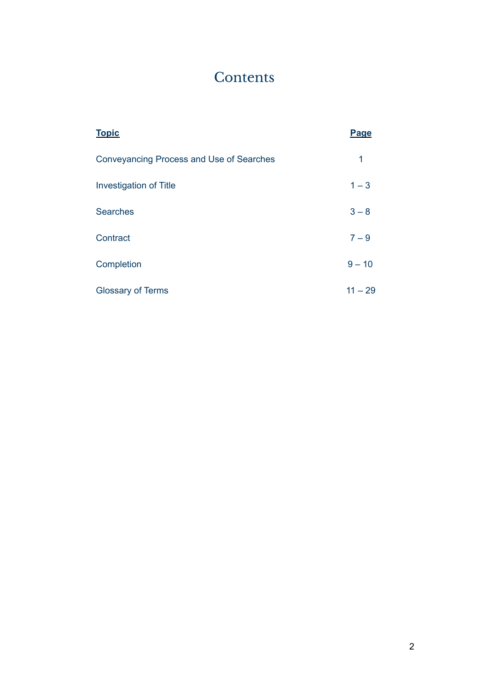# **Contents**

| <b>Topic</b>                                    | Page      |
|-------------------------------------------------|-----------|
| <b>Conveyancing Process and Use of Searches</b> | 1         |
| <b>Investigation of Title</b>                   | $1 - 3$   |
| <b>Searches</b>                                 | $3 - 8$   |
| Contract                                        | $7 - 9$   |
| Completion                                      | $9 - 10$  |
| <b>Glossary of Terms</b>                        | $11 - 29$ |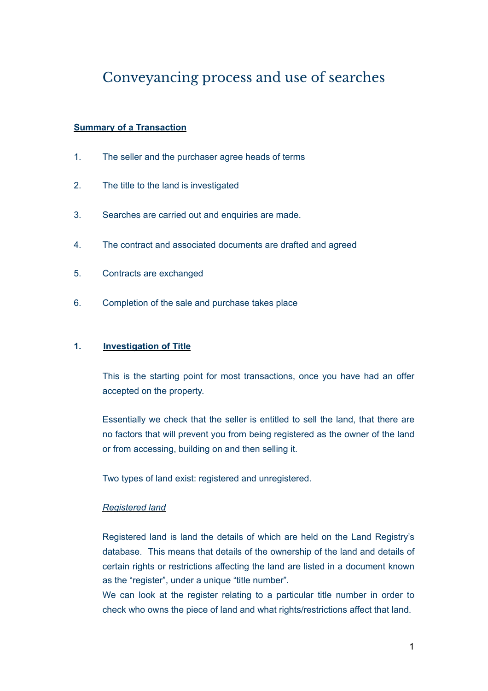## Conveyancing process and use of searches

#### **Summary of a Transaction**

- 1. The seller and the purchaser agree heads of terms
- 2. The title to the land is investigated
- 3. Searches are carried out and enquiries are made.
- 4. The contract and associated documents are drafted and agreed
- 5. Contracts are exchanged
- 6. Completion of the sale and purchase takes place

#### **1. Investigation of Title**

 This is the starting point for most transactions, once you have had an offer accepted on the property.

 Essentially we check that the seller is entitled to sell the land, that there are no factors that will prevent you from being registered as the owner of the land or from accessing, building on and then selling it.

Two types of land exist: registered and unregistered.

#### *Registered land*

 Registered land is land the details of which are held on the Land Registry's database. This means that details of the ownership of the land and details of certain rights or restrictions affecting the land are listed in a document known as the "register", under a unique "title number".

 We can look at the register relating to a particular title number in order to check who owns the piece of land and what rights/restrictions affect that land.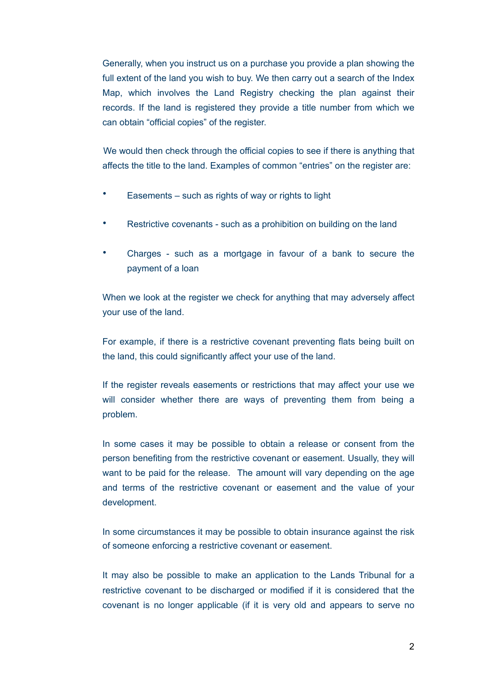Generally, when you instruct us on a purchase you provide a plan showing the full extent of the land you wish to buy. We then carry out a search of the Index Map, which involves the Land Registry checking the plan against their records. If the land is registered they provide a title number from which we can obtain "official copies" of the register.

 We would then check through the official copies to see if there is anything that affects the title to the land. Examples of common "entries" on the register are:

- Easements such as rights of way or rights to light
- Restrictive covenants such as a prohibition on building on the land
- Charges such as a mortgage in favour of a bank to secure the payment of a loan

When we look at the register we check for anything that may adversely affect your use of the land.

For example, if there is a restrictive covenant preventing flats being built on the land, this could significantly affect your use of the land.

If the register reveals easements or restrictions that may affect your use we will consider whether there are ways of preventing them from being a problem.

In some cases it may be possible to obtain a release or consent from the person benefiting from the restrictive covenant or easement. Usually, they will want to be paid for the release. The amount will vary depending on the age and terms of the restrictive covenant or easement and the value of your development.

In some circumstances it may be possible to obtain insurance against the risk of someone enforcing a restrictive covenant or easement.

It may also be possible to make an application to the Lands Tribunal for a restrictive covenant to be discharged or modified if it is considered that the covenant is no longer applicable (if it is very old and appears to serve no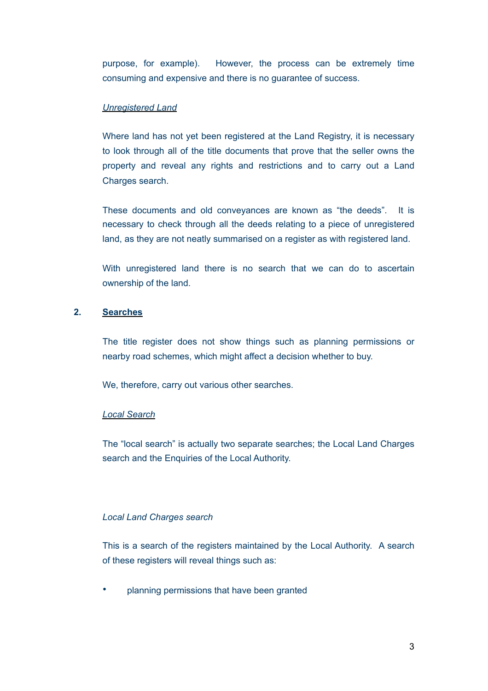purpose, for example). However, the process can be extremely time consuming and expensive and there is no guarantee of success.

#### *Unregistered Land*

Where land has not yet been registered at the Land Registry, it is necessary to look through all of the title documents that prove that the seller owns the property and reveal any rights and restrictions and to carry out a Land Charges search.

These documents and old conveyances are known as "the deeds". It is necessary to check through all the deeds relating to a piece of unregistered land, as they are not neatly summarised on a register as with registered land.

With unregistered land there is no search that we can do to ascertain ownership of the land.

#### **2. Searches**

The title register does not show things such as planning permissions or nearby road schemes, which might affect a decision whether to buy.

We, therefore, carry out various other searches.

#### *Local Search*

The "local search" is actually two separate searches; the Local Land Charges search and the Enquiries of the Local Authority.

#### *Local Land Charges search*

This is a search of the registers maintained by the Local Authority. A search of these registers will reveal things such as:

• planning permissions that have been granted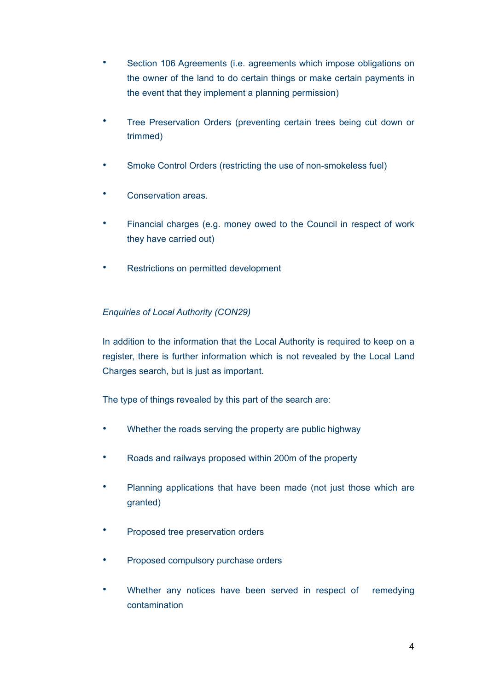- Section 106 Agreements (i.e. agreements which impose obligations on the owner of the land to do certain things or make certain payments in the event that they implement a planning permission)
- Tree Preservation Orders (preventing certain trees being cut down or trimmed)
- Smoke Control Orders (restricting the use of non-smokeless fuel)
- Conservation areas.
- Financial charges (e.g. money owed to the Council in respect of work they have carried out)
- Restrictions on permitted development

#### *Enquiries of Local Authority (CON29)*

In addition to the information that the Local Authority is required to keep on a register, there is further information which is not revealed by the Local Land Charges search, but is just as important.

The type of things revealed by this part of the search are:

- Whether the roads serving the property are public highway
- Roads and railways proposed within 200m of the property
- Planning applications that have been made (not just those which are granted)
- Proposed tree preservation orders
- Proposed compulsory purchase orders
- Whether any notices have been served in respect of remedying contamination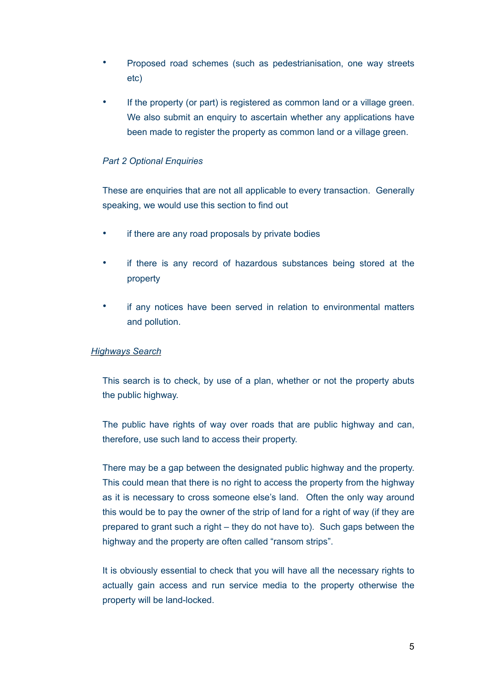- Proposed road schemes (such as pedestrianisation, one way streets etc)
- If the property (or part) is registered as common land or a village green. We also submit an enquiry to ascertain whether any applications have been made to register the property as common land or a village green.

#### *Part 2 Optional Enquiries*

These are enquiries that are not all applicable to every transaction. Generally speaking, we would use this section to find out

- if there are any road proposals by private bodies
- if there is any record of hazardous substances being stored at the property
- if any notices have been served in relation to environmental matters and pollution.

#### *Highways Search*

This search is to check, by use of a plan, whether or not the property abuts the public highway.

The public have rights of way over roads that are public highway and can, therefore, use such land to access their property.

There may be a gap between the designated public highway and the property. This could mean that there is no right to access the property from the highway as it is necessary to cross someone else's land. Often the only way around this would be to pay the owner of the strip of land for a right of way (if they are prepared to grant such a right – they do not have to). Such gaps between the highway and the property are often called "ransom strips".

It is obviously essential to check that you will have all the necessary rights to actually gain access and run service media to the property otherwise the property will be land-locked.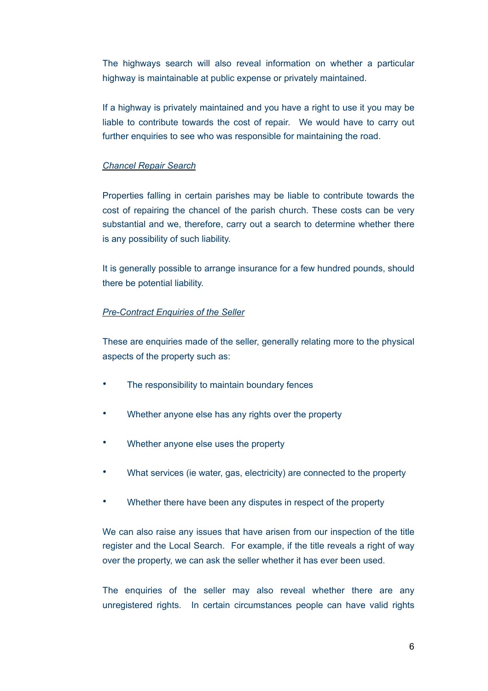The highways search will also reveal information on whether a particular highway is maintainable at public expense or privately maintained.

If a highway is privately maintained and you have a right to use it you may be liable to contribute towards the cost of repair. We would have to carry out further enquiries to see who was responsible for maintaining the road.

#### *Chancel Repair Search*

Properties falling in certain parishes may be liable to contribute towards the cost of repairing the chancel of the parish church. These costs can be very substantial and we, therefore, carry out a search to determine whether there is any possibility of such liability.

It is generally possible to arrange insurance for a few hundred pounds, should there be potential liability.

#### *Pre-Contract Enquiries of the Seller*

These are enquiries made of the seller, generally relating more to the physical aspects of the property such as:

- The responsibility to maintain boundary fences
- Whether anyone else has any rights over the property
- Whether anyone else uses the property
- What services (ie water, gas, electricity) are connected to the property
- Whether there have been any disputes in respect of the property

We can also raise any issues that have arisen from our inspection of the title register and the Local Search. For example, if the title reveals a right of way over the property, we can ask the seller whether it has ever been used.

The enquiries of the seller may also reveal whether there are any unregistered rights. In certain circumstances people can have valid rights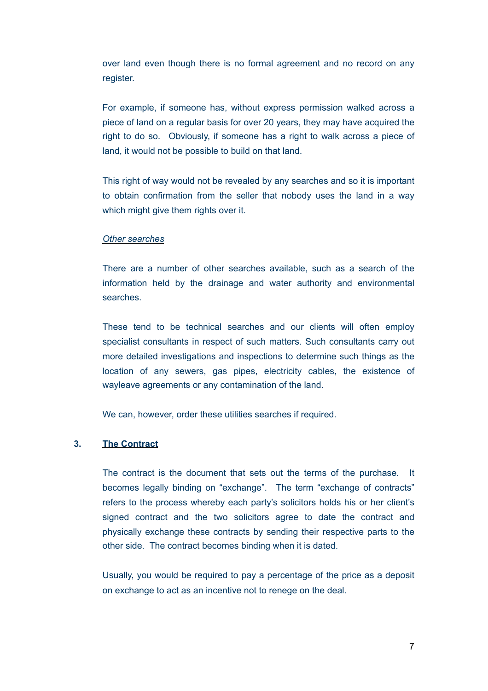over land even though there is no formal agreement and no record on any register.

For example, if someone has, without express permission walked across a piece of land on a regular basis for over 20 years, they may have acquired the right to do so. Obviously, if someone has a right to walk across a piece of land, it would not be possible to build on that land.

This right of way would not be revealed by any searches and so it is important to obtain confirmation from the seller that nobody uses the land in a way which might give them rights over it.

#### *Other searches*

There are a number of other searches available, such as a search of the information held by the drainage and water authority and environmental searches.

These tend to be technical searches and our clients will often employ specialist consultants in respect of such matters. Such consultants carry out more detailed investigations and inspections to determine such things as the location of any sewers, gas pipes, electricity cables, the existence of wayleave agreements or any contamination of the land.

We can, however, order these utilities searches if required.

#### **3. The Contract**

The contract is the document that sets out the terms of the purchase. It becomes legally binding on "exchange". The term "exchange of contracts" refers to the process whereby each party's solicitors holds his or her client's signed contract and the two solicitors agree to date the contract and physically exchange these contracts by sending their respective parts to the other side. The contract becomes binding when it is dated.

Usually, you would be required to pay a percentage of the price as a deposit on exchange to act as an incentive not to renege on the deal.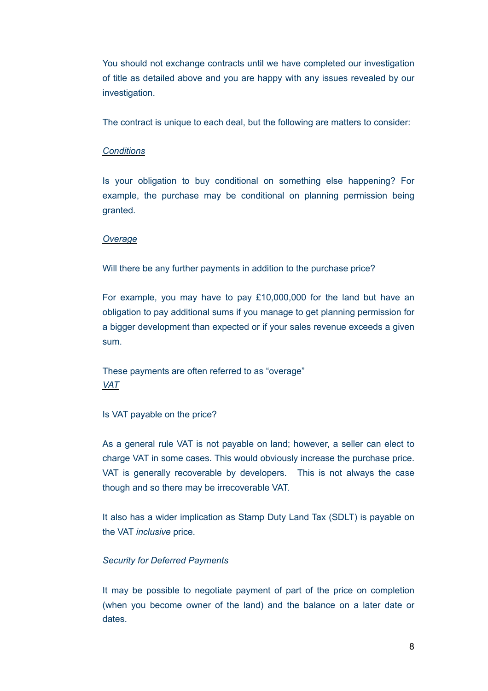You should not exchange contracts until we have completed our investigation of title as detailed above and you are happy with any issues revealed by our investigation.

The contract is unique to each deal, but the following are matters to consider:

#### *Conditions*

Is your obligation to buy conditional on something else happening? For example, the purchase may be conditional on planning permission being granted.

#### *Overage*

Will there be any further payments in addition to the purchase price?

For example, you may have to pay  $£10,000,000$  for the land but have an obligation to pay additional sums if you manage to get planning permission for a bigger development than expected or if your sales revenue exceeds a given sum.

These payments are often referred to as "overage" *VAT* 

Is VAT payable on the price?

As a general rule VAT is not payable on land; however, a seller can elect to charge VAT in some cases. This would obviously increase the purchase price. VAT is generally recoverable by developers. This is not always the case though and so there may be irrecoverable VAT.

It also has a wider implication as Stamp Duty Land Tax (SDLT) is payable on the VAT *inclusive* price.

#### *Security for Deferred Payments*

It may be possible to negotiate payment of part of the price on completion (when you become owner of the land) and the balance on a later date or dates.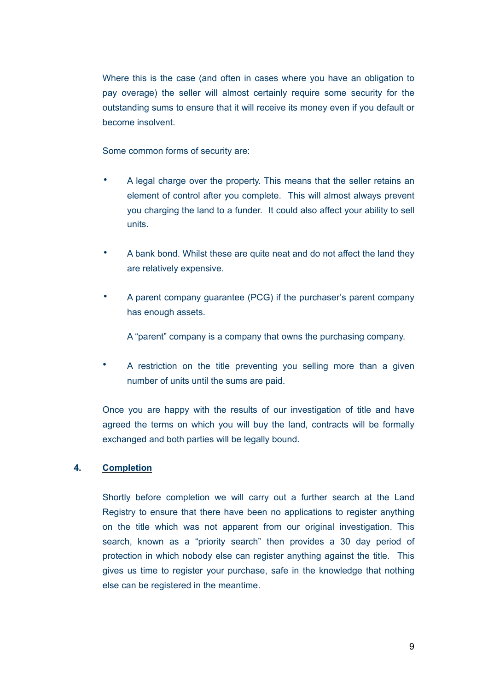Where this is the case (and often in cases where you have an obligation to pay overage) the seller will almost certainly require some security for the outstanding sums to ensure that it will receive its money even if you default or become insolvent.

Some common forms of security are:

- A legal charge over the property. This means that the seller retains an element of control after you complete. This will almost always prevent you charging the land to a funder. It could also affect your ability to sell units.
- A bank bond. Whilst these are quite neat and do not affect the land they are relatively expensive.
- A parent company guarantee (PCG) if the purchaser's parent company has enough assets.

A "parent" company is a company that owns the purchasing company.

• A restriction on the title preventing you selling more than a given number of units until the sums are paid.

Once you are happy with the results of our investigation of title and have agreed the terms on which you will buy the land, contracts will be formally exchanged and both parties will be legally bound.

#### **4. Completion**

Shortly before completion we will carry out a further search at the Land Registry to ensure that there have been no applications to register anything on the title which was not apparent from our original investigation. This search, known as a "priority search" then provides a 30 day period of protection in which nobody else can register anything against the title. This gives us time to register your purchase, safe in the knowledge that nothing else can be registered in the meantime.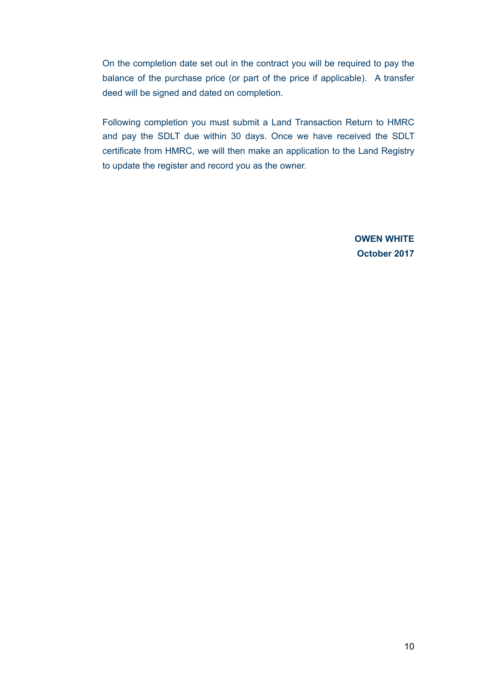On the completion date set out in the contract you will be required to pay the balance of the purchase price (or part of the price if applicable). A transfer deed will be signed and dated on completion.

Following completion you must submit a Land Transaction Return to HMRC and pay the SDLT due within 30 days. Once we have received the SDLT certificate from HMRC, we will then make an application to the Land Registry to update the register and record you as the owner.

> **OWEN WHITE October 2017**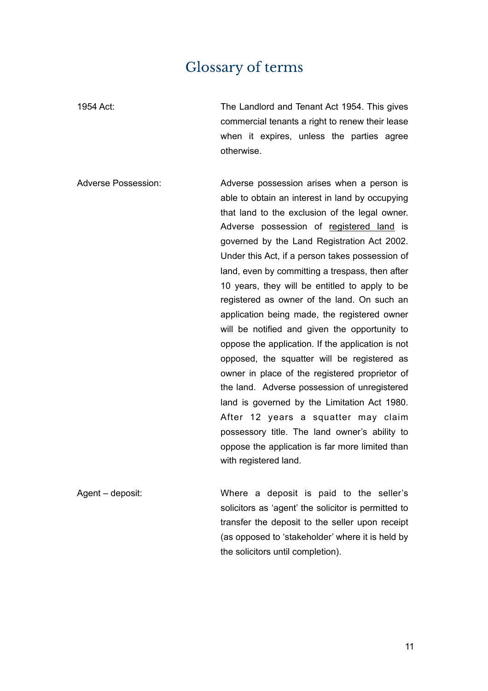### Glossary of terms

1954 Act: The Landlord and Tenant Act 1954. This gives commercial tenants a right to renew their lease when it expires, unless the parties agree otherwise. Adverse Possession: Adverse possession arises when a person is

able to obtain an interest in land by occupying that land to the exclusion of the legal owner. Adverse possession of registered land is governed by the Land Registration Act 2002. Under this Act, if a person takes possession of land, even by committing a trespass, then after 10 years, they will be entitled to apply to be registered as owner of the land. On such an application being made, the registered owner will be notified and given the opportunity to oppose the application. If the application is not opposed, the squatter will be registered as owner in place of the registered proprietor of the land. Adverse possession of unregistered land is governed by the Limitation Act 1980. After 12 years a squatter may claim possessory title. The land owner's ability to oppose the application is far more limited than with registered land.

Agent – deposit: Where a deposit is paid to the seller's solicitors as 'agent' the solicitor is permitted to transfer the deposit to the seller upon receipt (as opposed to 'stakeholder' where it is held by the solicitors until completion).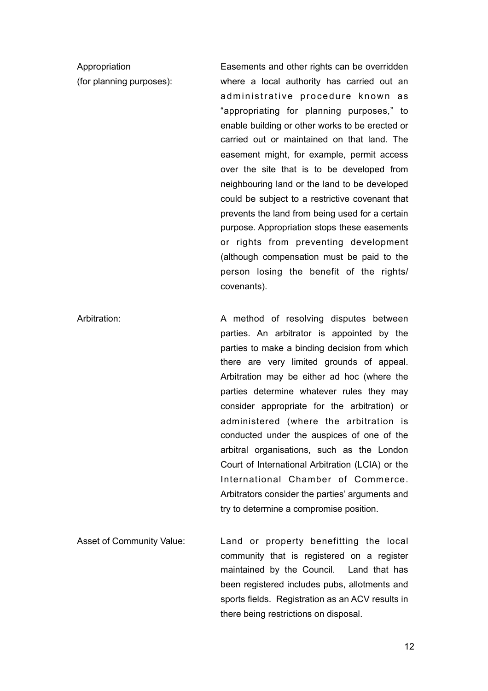Appropriation (for planning purposes): Easements and other rights can be overridden where a local authority has carried out an ad ministrative procedure known as "appropriating for planning purposes," to enable building or other works to be erected or carried out or maintained on that land. The easement might, for example, permit access over the site that is to be developed from neighbouring land or the land to be developed could be subject to a restrictive covenant that prevents the land from being used for a certain purpose. Appropriation stops these easements or rights from preventing development (although compensation must be paid to the person losing the benefit of the rights/ covenants). Arbitration: A method of resolving disputes between

parties. An arbitrator is appointed by the parties to make a binding decision from which there are very limited grounds of appeal. Arbitration may be either ad hoc (where the parties determine whatever rules they may consider appropriate for the arbitration) or administered (where the arbitration is conducted under the auspices of one of the arbitral organisations, such as the London Court of International Arbitration (LCIA) or the International Chamber of Commerce. Arbitrators consider the parties' arguments and try to determine a compromise position.

Asset of Community Value: Land or property benefitting the local community that is registered on a register maintained by the Council. Land that has been registered includes pubs, allotments and sports fields. Registration as an ACV results in there being restrictions on disposal.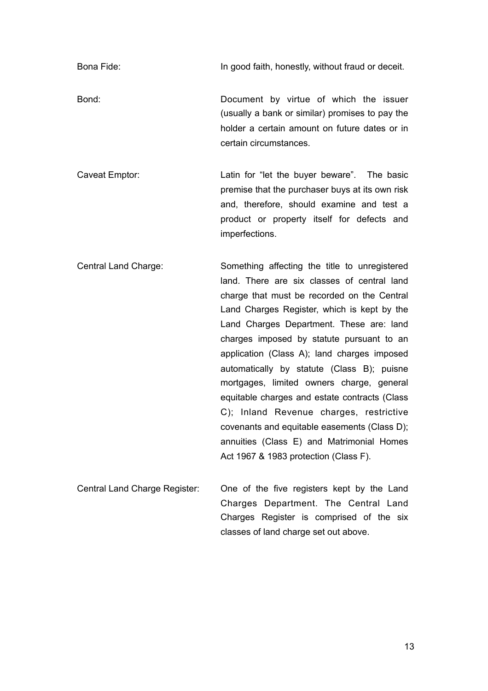Bona Fide: In good faith, honestly, without fraud or deceit.

Bond: Document by virtue of which the issuer (usually a bank or similar) promises to pay the holder a certain amount on future dates or in certain circumstances.

Caveat Emptor: Latin for "let the buyer beware". The basic premise that the purchaser buys at its own risk and, therefore, should examine and test a product or property itself for defects and imperfections.

Central Land Charge: Something affecting the title to unregistered land. There are six classes of central land charge that must be recorded on the Central Land Charges Register, which is kept by the Land Charges Department. These are: land charges imposed by statute pursuant to an application (Class A); land charges imposed automatically by statute (Class B); puisne mortgages, limited owners charge, general equitable charges and estate contracts (Class C); Inland Revenue charges, restrictive covenants and equitable easements (Class D); annuities (Class E) and Matrimonial Homes Act 1967 & 1983 protection (Class F).

Central Land Charge Register: One of the five registers kept by the Land Charges Department. The Central Land Charges Register is comprised of the six classes of land charge set out above.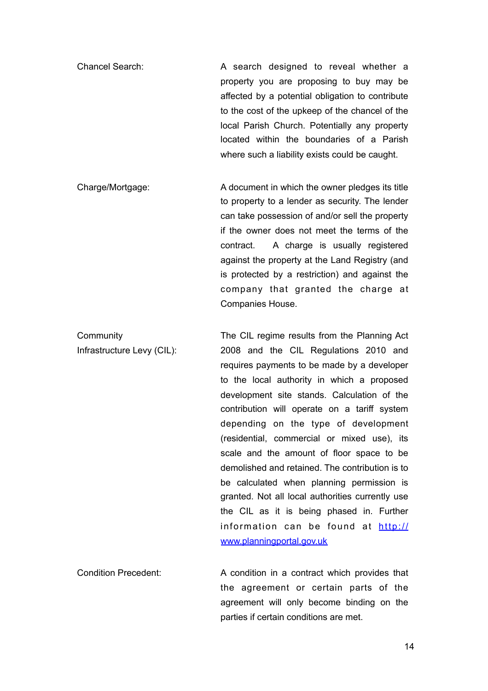- Chancel Search: A search designed to reveal whether a property you are proposing to buy may be affected by a potential obligation to contribute to the cost of the upkeep of the chancel of the local Parish Church. Potentially any property located within the boundaries of a Parish where such a liability exists could be caught.
- Charge/Mortgage: A document in which the owner pledges its title to property to a lender as security. The lender can take possession of and/or sell the property if the owner does not meet the terms of the contract. A charge is usually registered against the property at the Land Registry (and is protected by a restriction) and against the company that granted the charge at Companies House.
- **Community** Infrastructure Levy (CIL): The CIL regime results from the Planning Act 2008 and the CIL Regulations 2010 and requires payments to be made by a developer to the local authority in which a proposed development site stands. Calculation of the contribution will operate on a tariff system depending on the type of development (residential, commercial or mixed use), its scale and the amount of floor space to be demolished and retained. The contribution is to be calculated when planning permission is granted. Not all local authorities currently use the CIL as it is being phased in. Further [information can be found at http://](http://www.planningportal.gov.uk) www.planningportal.gov.uk
- Condition Precedent: A condition in a contract which provides that the agreement or certain parts of the agreement will only become binding on the parties if certain conditions are met.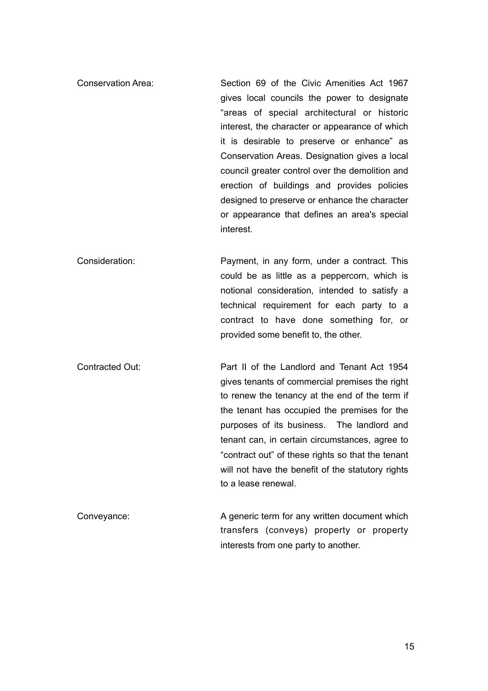- Conservation Area: Section 69 of the Civic Amenities Act 1967 gives local councils the power to designate "areas of special architectural or historic interest, the character or appearance of which it is desirable to preserve or enhance" as Conservation Areas. Designation gives a local council greater control over the demolition and erection of buildings and provides policies designed to preserve or enhance the character or appearance that defines an area's special interest.
- Consideration: Payment, in any form, under a contract. This could be as little as a peppercorn, which is notional consideration, intended to satisfy a technical requirement for each party to a contract to have done something for, or provided some benefit to, the other.
- Contracted Out: Part II of the Landlord and Tenant Act 1954 gives tenants of commercial premises the right to renew the tenancy at the end of the term if the tenant has occupied the premises for the purposes of its business. The landlord and tenant can, in certain circumstances, agree to "contract out" of these rights so that the tenant will not have the benefit of the statutory rights to a lease renewal.
- Conveyance: A generic term for any written document which transfers (conveys) property or property interests from one party to another.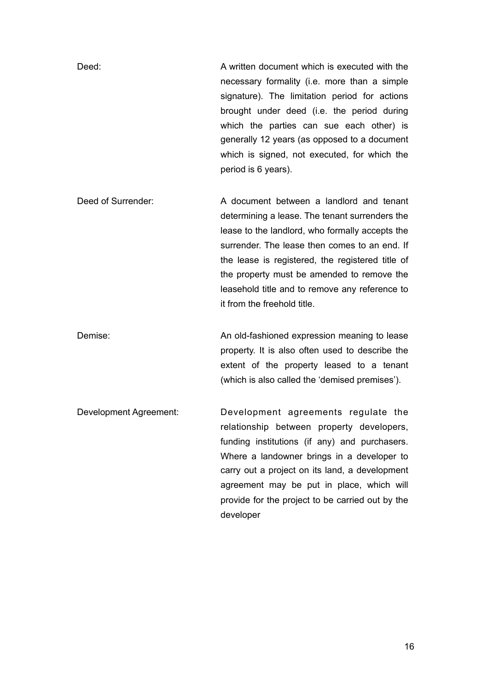Deed: A written document which is executed with the necessary formality (i.e. more than a simple signature). The limitation period for actions brought under deed (i.e. the period during which the parties can sue each other) is generally 12 years (as opposed to a document which is signed, not executed, for which the period is 6 years).

Deed of Surrender: A document between a landlord and tenant determining a lease. The tenant surrenders the lease to the landlord, who formally accepts the surrender. The lease then comes to an end. If the lease is registered, the registered title of the property must be amended to remove the leasehold title and to remove any reference to it from the freehold title.

Demise: Channel An old-fashioned expression meaning to lease property. It is also often used to describe the extent of the property leased to a tenant (which is also called the 'demised premises').

Development Agreement: Development agreements regulate the relationship between property developers, funding institutions (if any) and purchasers. Where a landowner brings in a developer to carry out a project on its land, a development agreement may be put in place, which will provide for the project to be carried out by the developer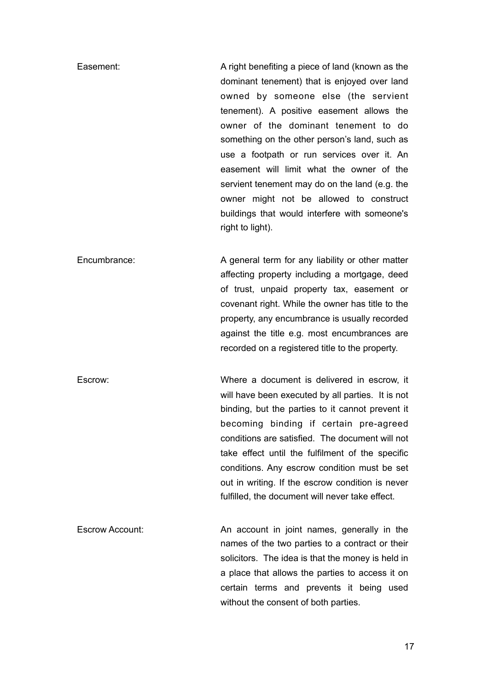Easement: A right benefiting a piece of land (known as the dominant tenement) that is enjoyed over land owned by someone else (the servient tenement). A positive easement allows the owner of the dominant tenement to do something on the other person's land, such as use a footpath or run services over it. An easement will limit what the owner of the servient tenement may do on the land (e.g. the owner might not be allowed to construct buildings that would interfere with someone's right to light).

Encumbrance: A general term for any liability or other matter affecting property including a mortgage, deed of trust, unpaid property tax, easement or covenant right. While the owner has title to the property, any encumbrance is usually recorded against the title e.g. most encumbrances are recorded on a registered title to the property.

Escrow: Where a document is delivered in escrow, it will have been executed by all parties. It is not binding, but the parties to it cannot prevent it becoming binding if certain pre-agreed conditions are satisfied. The document will not take effect until the fulfilment of the specific conditions. Any escrow condition must be set out in writing. If the escrow condition is never fulfilled, the document will never take effect.

Escrow Account: An account in joint names, generally in the names of the two parties to a contract or their solicitors. The idea is that the money is held in a place that allows the parties to access it on certain terms and prevents it being used without the consent of both parties.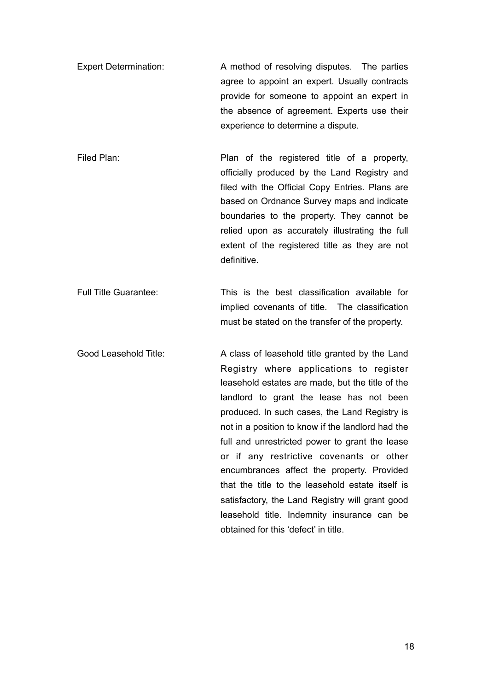- Expert Determination: A method of resolving disputes. The parties agree to appoint an expert. Usually contracts provide for someone to appoint an expert in the absence of agreement. Experts use their experience to determine a dispute.
- Filed Plan: Filed Plan: Plan of the registered title of a property, officially produced by the Land Registry and filed with the Official Copy Entries. Plans are based on Ordnance Survey maps and indicate boundaries to the property. They cannot be relied upon as accurately illustrating the full extent of the registered title as they are not definitive.

Full Title Guarantee: This is the best classification available for implied covenants of title. The classification must be stated on the transfer of the property.

Good Leasehold Title: A class of leasehold title granted by the Land Registry where applications to register leasehold estates are made, but the title of the landlord to grant the lease has not been produced. In such cases, the Land Registry is not in a position to know if the landlord had the full and unrestricted power to grant the lease or if any restrictive covenants or other encumbrances affect the property. Provided that the title to the leasehold estate itself is satisfactory, the Land Registry will grant good leasehold title. Indemnity insurance can be obtained for this 'defect' in title.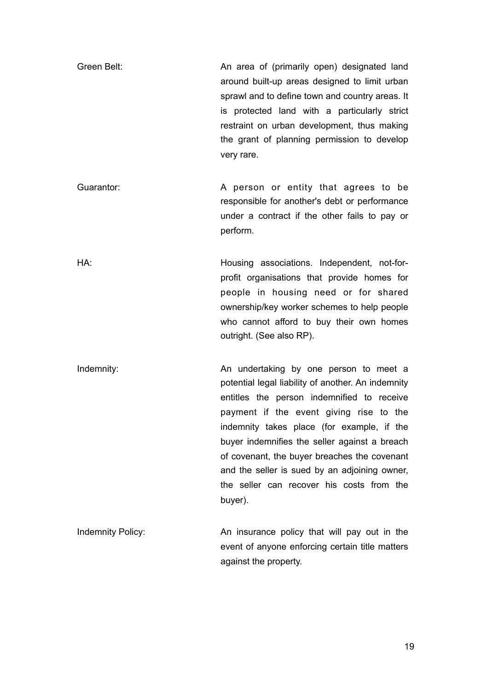Green Belt: An area of (primarily open) designated land around built-up areas designed to limit urban sprawl and to define town and country areas. It is protected land with a particularly strict restraint on urban development, thus making the grant of planning permission to develop very rare.

Guarantor: **A** person or entity that agrees to be responsible for another's debt or performance under a contract if the other fails to pay or perform.

HA: Housing associations. Independent, not-forprofit organisations that provide homes for people in housing need or for shared ownership/key worker schemes to help people who cannot afford to buy their own homes outright. (See also RP).

Indemnity: and a number of An undertaking by one person to meet a potential legal liability of another. An indemnity entitles the person indemnified to receive payment if the event giving rise to the indemnity takes place (for example, if the buyer indemnifies the seller against a breach of covenant, the buyer breaches the covenant and the seller is sued by an adjoining owner, the seller can recover his costs from the buyer).

Indemnity Policy: An insurance policy that will pay out in the event of anyone enforcing certain title matters against the property.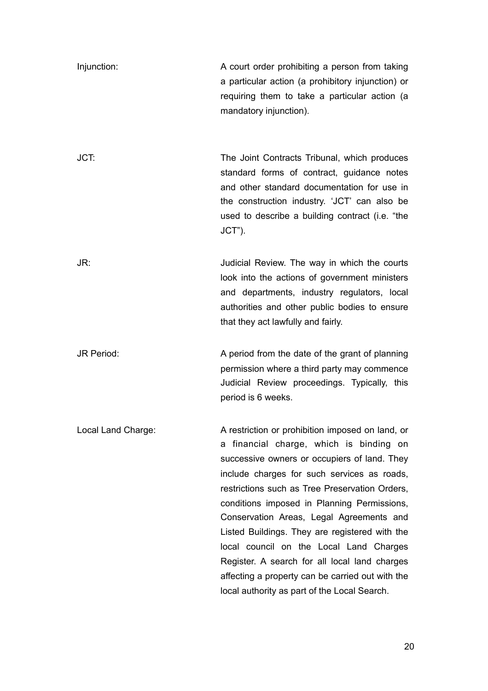| Injunction:        | A court order prohibiting a person from taking<br>a particular action (a prohibitory injunction) or<br>requiring them to take a particular action (a<br>mandatory injunction).                                                                                                                                                                                                                                                                                                                                                                                                            |
|--------------------|-------------------------------------------------------------------------------------------------------------------------------------------------------------------------------------------------------------------------------------------------------------------------------------------------------------------------------------------------------------------------------------------------------------------------------------------------------------------------------------------------------------------------------------------------------------------------------------------|
| JCT:               | The Joint Contracts Tribunal, which produces<br>standard forms of contract, guidance notes<br>and other standard documentation for use in<br>the construction industry. 'JCT' can also be<br>used to describe a building contract (i.e. "the<br>$JCT$ ").                                                                                                                                                                                                                                                                                                                                 |
| JR:                | Judicial Review. The way in which the courts<br>look into the actions of government ministers<br>and departments, industry regulators, local<br>authorities and other public bodies to ensure<br>that they act lawfully and fairly.                                                                                                                                                                                                                                                                                                                                                       |
| <b>JR Period:</b>  | A period from the date of the grant of planning<br>permission where a third party may commence<br>Judicial Review proceedings. Typically, this<br>period is 6 weeks.                                                                                                                                                                                                                                                                                                                                                                                                                      |
| Local Land Charge: | A restriction or prohibition imposed on land, or<br>a financial charge, which is binding on<br>successive owners or occupiers of land. They<br>include charges for such services as roads,<br>restrictions such as Tree Preservation Orders,<br>conditions imposed in Planning Permissions,<br>Conservation Areas, Legal Agreements and<br>Listed Buildings. They are registered with the<br>local council on the Local Land Charges<br>Register. A search for all local land charges<br>affecting a property can be carried out with the<br>local authority as part of the Local Search. |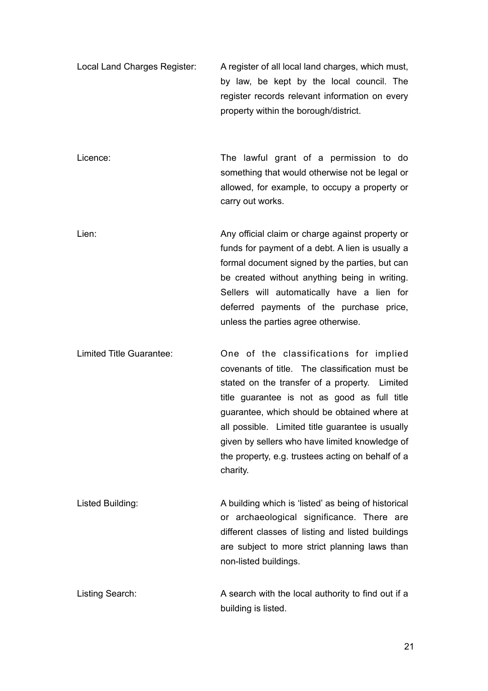Local Land Charges Register: A register of all local land charges, which must, by law, be kept by the local council. The register records relevant information on every property within the borough/district.

Licence: The lawful grant of a permission to do something that would otherwise not be legal or allowed, for example, to occupy a property or carry out works.

- Lien: Any official claim or charge against property or funds for payment of a debt. A lien is usually a formal document signed by the parties, but can be created without anything being in writing. Sellers will automatically have a lien for deferred payments of the purchase price, unless the parties agree otherwise.
- Limited Title Guarantee: One of the classifications for implied covenants of title. The classification must be stated on the transfer of a property. Limited title guarantee is not as good as full title guarantee, which should be obtained where at all possible. Limited title guarantee is usually given by sellers who have limited knowledge of the property, e.g. trustees acting on behalf of a charity.
- Listed Building: A building which is 'listed' as being of historical or archaeological significance. There are different classes of listing and listed buildings are subject to more strict planning laws than non-listed buildings.
- Listing Search: A search with the local authority to find out if a building is listed.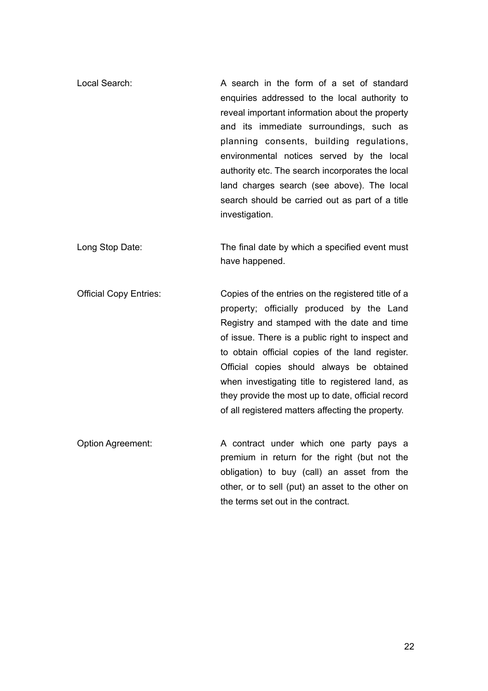- Local Search: A search in the form of a set of standard enquiries addressed to the local authority to reveal important information about the property and its immediate surroundings, such as planning consents, building regulations, environmental notices served by the local authority etc. The search incorporates the local land charges search (see above). The local search should be carried out as part of a title investigation.
- Long Stop Date: The final date by which a specified event must have happened.
- Official Copy Entries: Copies of the entries on the registered title of a property; officially produced by the Land Registry and stamped with the date and time of issue. There is a public right to inspect and to obtain official copies of the land register. Official copies should always be obtained when investigating title to registered land, as they provide the most up to date, official record of all registered matters affecting the property.
- Option Agreement: A contract under which one party pays a premium in return for the right (but not the obligation) to buy (call) an asset from the other, or to sell (put) an asset to the other on the terms set out in the contract.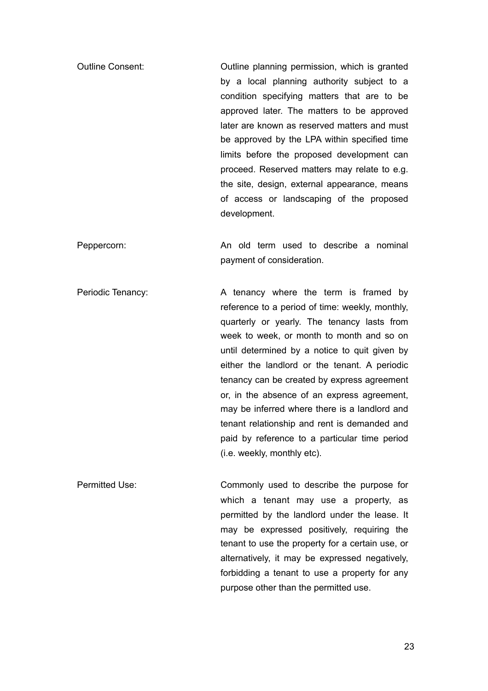- Outline Consent: Outline planning permission, which is granted by a local planning authority subject to a condition specifying matters that are to be approved later. The matters to be approved later are known as reserved matters and must be approved by the LPA within specified time limits before the proposed development can proceed. Reserved matters may relate to e.g. the site, design, external appearance, means of access or landscaping of the proposed development.
- Peppercorn: An old term used to describe a nominal payment of consideration.
- Periodic Tenancy: A tenancy where the term is framed by reference to a period of time: weekly, monthly, quarterly or yearly. The tenancy lasts from week to week, or month to month and so on until determined by a notice to quit given by either the landlord or the tenant. A periodic tenancy can be created by express agreement or, in the absence of an express agreement, may be inferred where there is a landlord and tenant relationship and rent is demanded and paid by reference to a particular time period (i.e. weekly, monthly etc).
- Permitted Use: Commonly used to describe the purpose for which a tenant may use a property, as permitted by the landlord under the lease. It may be expressed positively, requiring the tenant to use the property for a certain use, or alternatively, it may be expressed negatively, forbidding a tenant to use a property for any purpose other than the permitted use.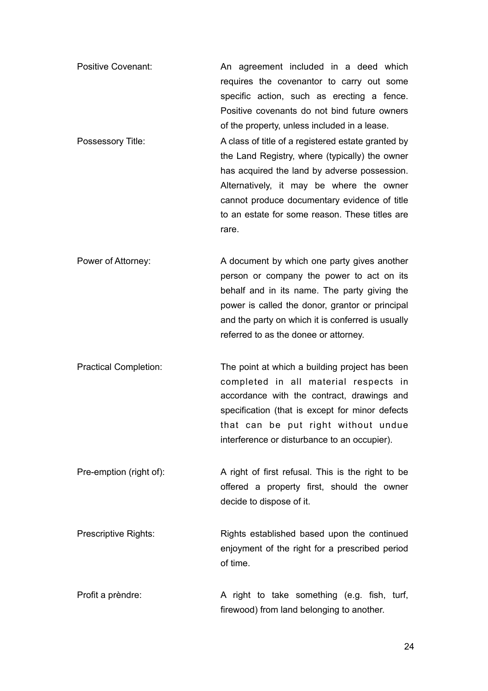- Positive Covenant: An agreement included in a deed which requires the covenantor to carry out some specific action, such as erecting a fence. Positive covenants do not bind future owners of the property, unless included in a lease.
- Possessory Title: A class of title of a registered estate granted by the Land Registry, where (typically) the owner has acquired the land by adverse possession. Alternatively, it may be where the owner cannot produce documentary evidence of title to an estate for some reason. These titles are rare.
- Power of Attorney: A document by which one party gives another person or company the power to act on its behalf and in its name. The party giving the power is called the donor, grantor or principal and the party on which it is conferred is usually referred to as the donee or attorney.
- Practical Completion: The point at which a building project has been completed in all material respects in accordance with the contract, drawings and specification (that is except for minor defects that can be put right without undue interference or disturbance to an occupier).
- Pre-emption (right of): A right of first refusal. This is the right to be offered a property first, should the owner decide to dispose of it.
- Prescriptive Rights: Rights established based upon the continued enjoyment of the right for a prescribed period of time.
- Profit a prèndre: A right to take something (e.g. fish, turf, firewood) from land belonging to another.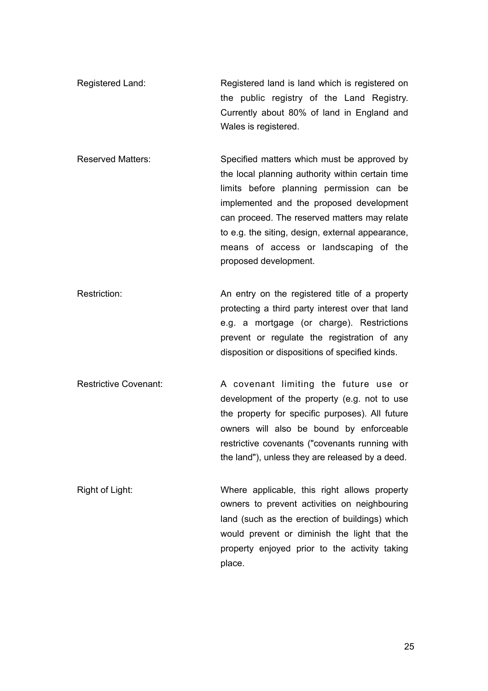- Registered Land: Registered land is land which is registered on the public registry of the Land Registry. Currently about 80% of land in England and Wales is registered.
- Reserved Matters: Specified matters which must be approved by the local planning authority within certain time limits before planning permission can be implemented and the proposed development can proceed. The reserved matters may relate to e.g. the siting, design, external appearance, means of access or landscaping of the proposed development.
- Restriction: An entry on the registered title of a property protecting a third party interest over that land e.g. a mortgage (or charge). Restrictions prevent or regulate the registration of any disposition or dispositions of specified kinds.
- Restrictive Covenant: A covenant limiting the future use or development of the property (e.g. not to use the property for specific purposes). All future owners will also be bound by enforceable restrictive covenants ("covenants running with the land"), unless they are released by a deed.
- Right of Light: Where applicable, this right allows property owners to prevent activities on neighbouring land (such as the erection of buildings) which would prevent or diminish the light that the property enjoyed prior to the activity taking place.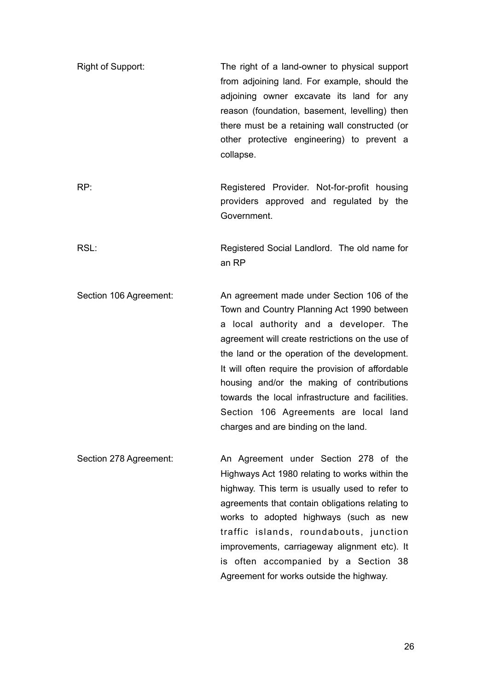- Right of Support: The right of a land-owner to physical support from adjoining land. For example, should the adioining owner excavate its land for any reason (foundation, basement, levelling) then there must be a retaining wall constructed (or other protective engineering) to prevent a collapse.
- RP: Registered Provider. Not-for-profit housing providers approved and regulated by the Government.

RSL: REGISTER REGISTER REGISTER SOCIAL Landlord. The old name for an RP

- Section 106 Agreement: An agreement made under Section 106 of the Town and Country Planning Act 1990 between a local authority and a developer. The agreement will create restrictions on the use of the land or the operation of the development. It will often require the provision of affordable housing and/or the making of contributions towards the local infrastructure and facilities. Section 106 Agreements are local land charges and are binding on the land.
- Section 278 Agreement: An Agreement under Section 278 of the Highways Act 1980 relating to works within the highway. This term is usually used to refer to agreements that contain obligations relating to works to adopted highways (such as new traffic islands, roundabouts, junction improvements, carriageway alignment etc). It is often accompanied by a Section 38 Agreement for works outside the highway.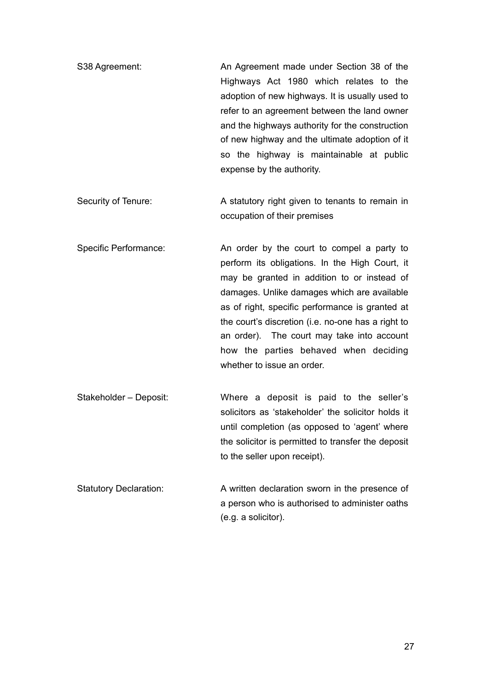- S38 Agreement: An Agreement made under Section 38 of the Highways Act 1980 which relates to the adoption of new highways. It is usually used to refer to an agreement between the land owner and the highways authority for the construction of new highway and the ultimate adoption of it so the highway is maintainable at public expense by the authority.
- Security of Tenure: A statutory right given to tenants to remain in occupation of their premises
- Specific Performance: An order by the court to compel a party to perform its obligations. In the High Court, it may be granted in addition to or instead of damages. Unlike damages which are available as of right, specific performance is granted at the court's discretion (i.e. no-one has a right to an order). The court may take into account how the parties behaved when deciding whether to issue an order.
- Stakeholder Deposit: Where a deposit is paid to the seller's solicitors as 'stakeholder' the solicitor holds it until completion (as opposed to 'agent' where the solicitor is permitted to transfer the deposit to the seller upon receipt).
- Statutory Declaration: A written declaration sworn in the presence of a person who is authorised to administer oaths (e.g. a solicitor).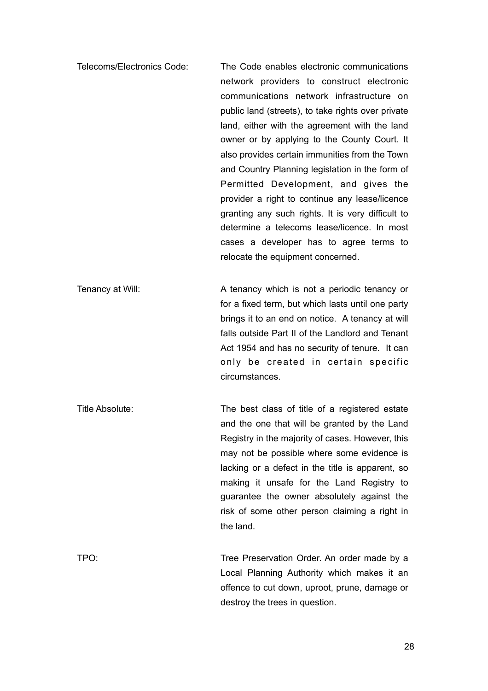Telecoms/Electronics Code: The Code enables electronic communications network providers to construct electronic communications network infrastructure on public land (streets), to take rights over private land, either with the agreement with the land owner or by applying to the County Court. It also provides certain immunities from the Town and Country Planning legislation in the form of Permitted Development, and gives the provider a right to continue any lease/licence granting any such rights. It is very difficult to determine a telecoms lease/licence. In most cases a developer has to agree terms to relocate the equipment concerned.

Tenancy at Will: A tenancy which is not a periodic tenancy or for a fixed term, but which lasts until one party brings it to an end on notice. A tenancy at will falls outside Part II of the Landlord and Tenant Act 1954 and has no security of tenure. It can only be created in certain specific circumstances.

Title Absolute: The best class of title of a registered estate and the one that will be granted by the Land Registry in the majority of cases. However, this may not be possible where some evidence is lacking or a defect in the title is apparent, so making it unsafe for the Land Registry to guarantee the owner absolutely against the risk of some other person claiming a right in the land.

TPO: Tree Preservation Order. An order made by a Local Planning Authority which makes it an offence to cut down, uproot, prune, damage or destroy the trees in question.